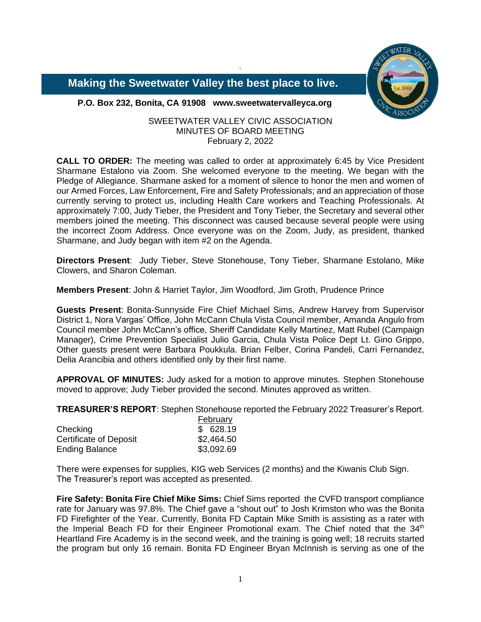

 **Making the Sweetwater Valley the best place to live.**

**P.O. Box 232, Bonita, CA 91908 www.sweetwatervalleyca.org**

SWEETWATER VALLEY CIVIC ASSOCIATION MINUTES OF BOARD MEETING February 2, 2022

`

**CALL TO ORDER:** The meeting was called to order at approximately 6:45 by Vice President Sharmane Estalono via Zoom. She welcomed everyone to the meeting. We began with the Pledge of Allegiance. Sharmane asked for a moment of silence to honor the men and women of our Armed Forces, Law Enforcement, Fire and Safety Professionals; and an appreciation of those currently serving to protect us, including Health Care workers and Teaching Professionals. At approximately 7:00, Judy Tieber, the President and Tony Tieber, the Secretary and several other members joined the meeting. This disconnect was caused because several people were using the incorrect Zoom Address. Once everyone was on the Zoom, Judy, as president, thanked Sharmane, and Judy began with item #2 on the Agenda.

**Directors Present**: Judy Tieber, Steve Stonehouse, Tony Tieber, Sharmane Estolano, Mike Clowers, and Sharon Coleman.

**Members Present**: John & Harriet Taylor, Jim Woodford, Jim Groth, Prudence Prince

**Guests Present**: Bonita-Sunnyside Fire Chief Michael Sims, Andrew Harvey from Supervisor District 1, Nora Vargas' Office, John McCann Chula Vista Council member, Amanda Angulo from Council member John McCann's office, Sheriff Candidate Kelly Martinez, Matt Rubel (Campaign Manager), Crime Prevention Specialist Julio Garcia, Chula Vista Police Dept Lt. Gino Grippo, Other guests present were Barbara Poukkula. Brian Felber, Corina Pandeli, Carri Fernandez, Delia Arancibia and others identified only by their first name.

**APPROVAL OF MINUTES:** Judy asked for a motion to approve minutes. Stephen Stonehouse moved to approve; Judy Tieber provided the second. Minutes approved as written.

**TREASURER'S REPORT**: Stephen Stonehouse reported the February 2022 Treasurer's Report.

|                        | February   |
|------------------------|------------|
| Checking               | \$628.19   |
| Certificate of Deposit | \$2,464.50 |
| <b>Ending Balance</b>  | \$3,092.69 |

There were expenses for supplies, KIG web Services (2 months) and the Kiwanis Club Sign. The Treasurer's report was accepted as presented.

**Fire Safety: Bonita Fire Chief Mike Sims:** Chief Sims reported the CVFD transport compliance rate for January was 97.8%. The Chief gave a "shout out" to Josh Krimston who was the Bonita FD Firefighter of the Year. Currently, Bonita FD Captain Mike Smith is assisting as a rater with the Imperial Beach FD for their Engineer Promotional exam. The Chief noted that the  $34<sup>th</sup>$ Heartland Fire Academy is in the second week, and the training is going well; 18 recruits started the program but only 16 remain. Bonita FD Engineer Bryan McInnish is serving as one of the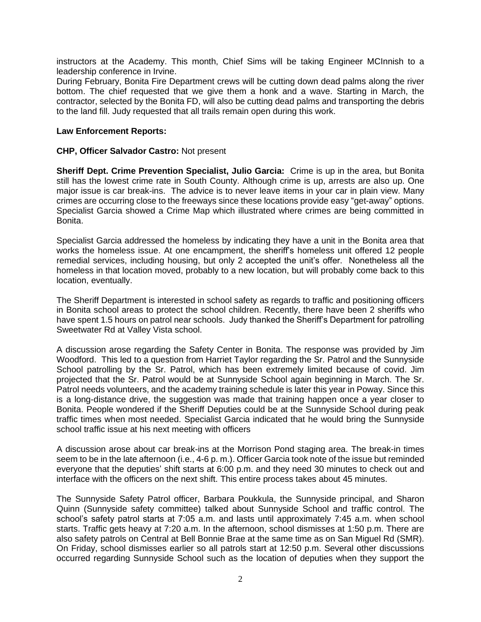instructors at the Academy. This month, Chief Sims will be taking Engineer MCInnish to a leadership conference in Irvine.

During February, Bonita Fire Department crews will be cutting down dead palms along the river bottom. The chief requested that we give them a honk and a wave. Starting in March, the contractor, selected by the Bonita FD, will also be cutting dead palms and transporting the debris to the land fill. Judy requested that all trails remain open during this work.

## **Law Enforcement Reports:**

## **CHP, Officer Salvador Castro:** Not present

**Sheriff Dept. Crime Prevention Specialist, Julio Garcia:** Crime is up in the area, but Bonita still has the lowest crime rate in South County. Although crime is up, arrests are also up. One major issue is car break-ins. The advice is to never leave items in your car in plain view. Many crimes are occurring close to the freeways since these locations provide easy "get-away" options. Specialist Garcia showed a Crime Map which illustrated where crimes are being committed in Bonita.

Specialist Garcia addressed the homeless by indicating they have a unit in the Bonita area that works the homeless issue. At one encampment, the sheriff's homeless unit offered 12 people remedial services, including housing, but only 2 accepted the unit's offer. Nonetheless all the homeless in that location moved, probably to a new location, but will probably come back to this location, eventually.

The Sheriff Department is interested in school safety as regards to traffic and positioning officers in Bonita school areas to protect the school children. Recently, there have been 2 sheriffs who have spent 1.5 hours on patrol near schools. Judy thanked the Sheriff's Department for patrolling Sweetwater Rd at Valley Vista school.

A discussion arose regarding the Safety Center in Bonita. The response was provided by Jim Woodford. This led to a question from Harriet Taylor regarding the Sr. Patrol and the Sunnyside School patrolling by the Sr. Patrol, which has been extremely limited because of covid. Jim projected that the Sr. Patrol would be at Sunnyside School again beginning in March. The Sr. Patrol needs volunteers, and the academy training schedule is later this year in Poway. Since this is a long-distance drive, the suggestion was made that training happen once a year closer to Bonita. People wondered if the Sheriff Deputies could be at the Sunnyside School during peak traffic times when most needed. Specialist Garcia indicated that he would bring the Sunnyside school traffic issue at his next meeting with officers

A discussion arose about car break-ins at the Morrison Pond staging area. The break-in times seem to be in the late afternoon (i.e., 4-6 p. m.). Officer Garcia took note of the issue but reminded everyone that the deputies' shift starts at 6:00 p.m. and they need 30 minutes to check out and interface with the officers on the next shift. This entire process takes about 45 minutes.

The Sunnyside Safety Patrol officer, Barbara Poukkula, the Sunnyside principal, and Sharon Quinn (Sunnyside safety committee) talked about Sunnyside School and traffic control. The school's safety patrol starts at 7:05 a.m. and lasts until approximately 7:45 a.m. when school starts. Traffic gets heavy at 7:20 a.m. In the afternoon, school dismisses at 1:50 p.m. There are also safety patrols on Central at Bell Bonnie Brae at the same time as on San Miguel Rd (SMR). On Friday, school dismisses earlier so all patrols start at 12:50 p.m. Several other discussions occurred regarding Sunnyside School such as the location of deputies when they support the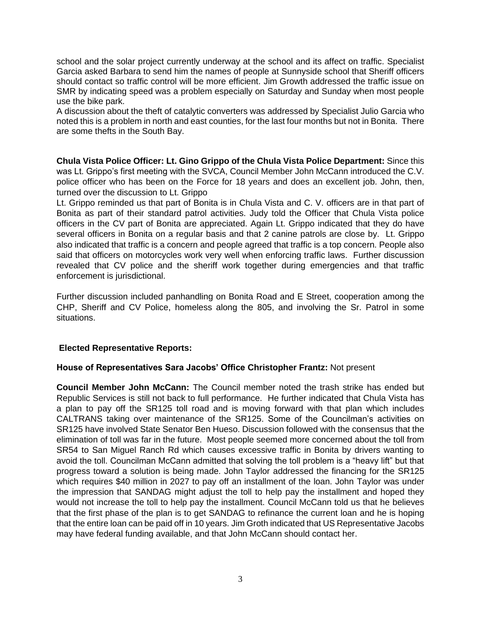school and the solar project currently underway at the school and its affect on traffic. Specialist Garcia asked Barbara to send him the names of people at Sunnyside school that Sheriff officers should contact so traffic control will be more efficient. Jim Growth addressed the traffic issue on SMR by indicating speed was a problem especially on Saturday and Sunday when most people use the bike park.

A discussion about the theft of catalytic converters was addressed by Specialist Julio Garcia who noted this is a problem in north and east counties, for the last four months but not in Bonita. There are some thefts in the South Bay.

**Chula Vista Police Officer: Lt. Gino Grippo of the Chula Vista Police Department:** Since this was Lt. Grippo's first meeting with the SVCA, Council Member John McCann introduced the C.V. police officer who has been on the Force for 18 years and does an excellent job. John, then, turned over the discussion to Lt. Grippo

Lt. Grippo reminded us that part of Bonita is in Chula Vista and C. V. officers are in that part of Bonita as part of their standard patrol activities. Judy told the Officer that Chula Vista police officers in the CV part of Bonita are appreciated. Again Lt. Grippo indicated that they do have several officers in Bonita on a regular basis and that 2 canine patrols are close by. Lt. Grippo also indicated that traffic is a concern and people agreed that traffic is a top concern. People also said that officers on motorcycles work very well when enforcing traffic laws. Further discussion revealed that CV police and the sheriff work together during emergencies and that traffic enforcement is jurisdictional.

Further discussion included panhandling on Bonita Road and E Street, cooperation among the CHP, Sheriff and CV Police, homeless along the 805, and involving the Sr. Patrol in some situations.

# **Elected Representative Reports:**

# **House of Representatives Sara Jacobs' Office Christopher Frantz:** Not present

**Council Member John McCann:** The Council member noted the trash strike has ended but Republic Services is still not back to full performance. He further indicated that Chula Vista has a plan to pay off the SR125 toll road and is moving forward with that plan which includes CALTRANS taking over maintenance of the SR125. Some of the Councilman's activities on SR125 have involved State Senator Ben Hueso. Discussion followed with the consensus that the elimination of toll was far in the future. Most people seemed more concerned about the toll from SR54 to San Miguel Ranch Rd which causes excessive traffic in Bonita by drivers wanting to avoid the toll. Councilman McCann admitted that solving the toll problem is a "heavy lift" but that progress toward a solution is being made. John Taylor addressed the financing for the SR125 which requires \$40 million in 2027 to pay off an installment of the loan. John Taylor was under the impression that SANDAG might adjust the toll to help pay the installment and hoped they would not increase the toll to help pay the installment. Council McCann told us that he believes that the first phase of the plan is to get SANDAG to refinance the current loan and he is hoping that the entire loan can be paid off in 10 years. Jim Groth indicated that US Representative Jacobs may have federal funding available, and that John McCann should contact her.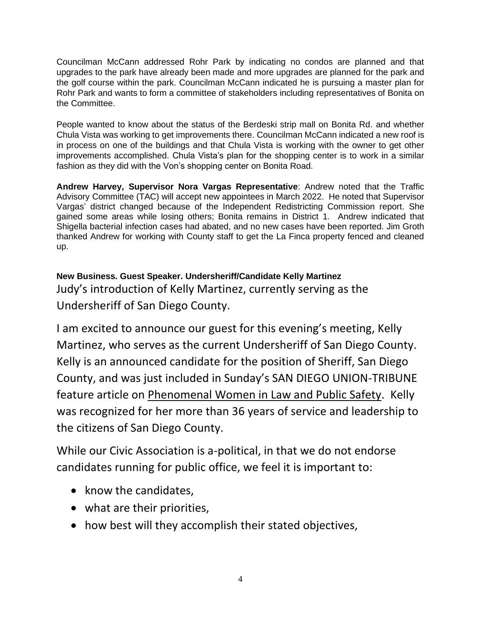Councilman McCann addressed Rohr Park by indicating no condos are planned and that upgrades to the park have already been made and more upgrades are planned for the park and the golf course within the park. Councilman McCann indicated he is pursuing a master plan for Rohr Park and wants to form a committee of stakeholders including representatives of Bonita on the Committee.

People wanted to know about the status of the Berdeski strip mall on Bonita Rd. and whether Chula Vista was working to get improvements there. Councilman McCann indicated a new roof is in process on one of the buildings and that Chula Vista is working with the owner to get other improvements accomplished. Chula Vista's plan for the shopping center is to work in a similar fashion as they did with the Von's shopping center on Bonita Road.

**Andrew Harvey, Supervisor Nora Vargas Representative**: Andrew noted that the Traffic Advisory Committee (TAC) will accept new appointees in March 2022. He noted that Supervisor Vargas' district changed because of the Independent Redistricting Commission report. She gained some areas while losing others; Bonita remains in District 1. Andrew indicated that Shigella bacterial infection cases had abated, and no new cases have been reported. Jim Groth thanked Andrew for working with County staff to get the La Finca property fenced and cleaned up.

**New Business. Guest Speaker. Undersheriff/Candidate Kelly Martinez** Judy's introduction of Kelly Martinez, currently serving as the Undersheriff of San Diego County.

I am excited to announce our guest for this evening's meeting, Kelly Martinez, who serves as the current Undersheriff of San Diego County. Kelly is an announced candidate for the position of Sheriff, San Diego County, and was just included in Sunday's SAN DIEGO UNION-TRIBUNE feature article on Phenomenal Women in Law and Public Safety. Kelly was recognized for her more than 36 years of service and leadership to the citizens of San Diego County.

While our Civic Association is a-political, in that we do not endorse candidates running for public office, we feel it is important to:

- know the candidates,
- what are their priorities,
- how best will they accomplish their stated objectives,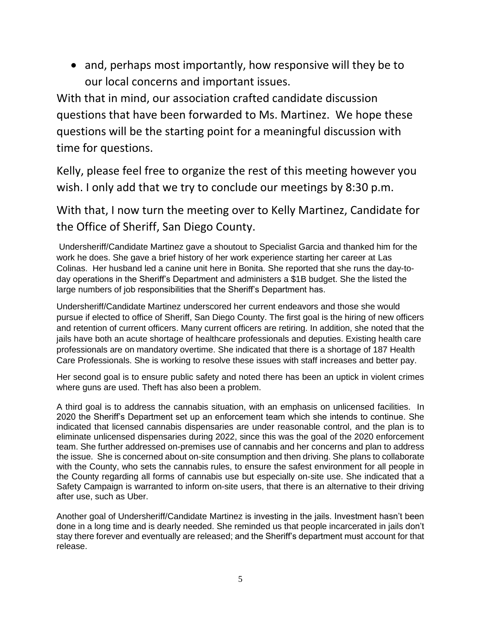• and, perhaps most importantly, how responsive will they be to our local concerns and important issues.

With that in mind, our association crafted candidate discussion questions that have been forwarded to Ms. Martinez. We hope these questions will be the starting point for a meaningful discussion with time for questions.

Kelly, please feel free to organize the rest of this meeting however you wish. I only add that we try to conclude our meetings by 8:30 p.m.

With that, I now turn the meeting over to Kelly Martinez, Candidate for the Office of Sheriff, San Diego County.

Undersheriff/Candidate Martinez gave a shoutout to Specialist Garcia and thanked him for the work he does. She gave a brief history of her work experience starting her career at Las Colinas. Her husband led a canine unit here in Bonita. She reported that she runs the day-today operations in the Sheriff's Department and administers a \$1B budget. She the listed the large numbers of job responsibilities that the Sheriff's Department has.

Undersheriff/Candidate Martinez underscored her current endeavors and those she would pursue if elected to office of Sheriff, San Diego County. The first goal is the hiring of new officers and retention of current officers. Many current officers are retiring. In addition, she noted that the jails have both an acute shortage of healthcare professionals and deputies. Existing health care professionals are on mandatory overtime. She indicated that there is a shortage of 187 Health Care Professionals. She is working to resolve these issues with staff increases and better pay.

Her second goal is to ensure public safety and noted there has been an uptick in violent crimes where guns are used. Theft has also been a problem.

A third goal is to address the cannabis situation, with an emphasis on unlicensed facilities. In 2020 the Sheriff's Department set up an enforcement team which she intends to continue. She indicated that licensed cannabis dispensaries are under reasonable control, and the plan is to eliminate unlicensed dispensaries during 2022, since this was the goal of the 2020 enforcement team. She further addressed on-premises use of cannabis and her concerns and plan to address the issue. She is concerned about on-site consumption and then driving. She plans to collaborate with the County, who sets the cannabis rules, to ensure the safest environment for all people in the County regarding all forms of cannabis use but especially on-site use. She indicated that a Safety Campaign is warranted to inform on-site users, that there is an alternative to their driving after use, such as Uber.

Another goal of Undersheriff/Candidate Martinez is investing in the jails. Investment hasn't been done in a long time and is dearly needed. She reminded us that people incarcerated in jails don't stay there forever and eventually are released; and the Sheriff's department must account for that release.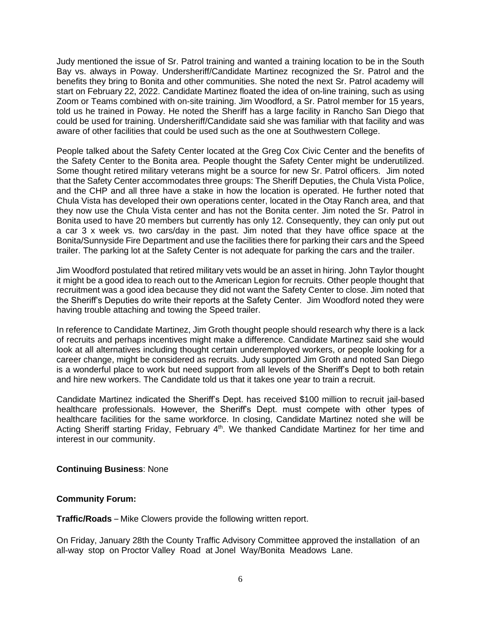Judy mentioned the issue of Sr. Patrol training and wanted a training location to be in the South Bay vs. always in Poway. Undersheriff/Candidate Martinez recognized the Sr. Patrol and the benefits they bring to Bonita and other communities. She noted the next Sr. Patrol academy will start on February 22, 2022. Candidate Martinez floated the idea of on-line training, such as using Zoom or Teams combined with on-site training. Jim Woodford, a Sr. Patrol member for 15 years, told us he trained in Poway. He noted the Sheriff has a large facility in Rancho San Diego that could be used for training. Undersheriff/Candidate said she was familiar with that facility and was aware of other facilities that could be used such as the one at Southwestern College.

People talked about the Safety Center located at the Greg Cox Civic Center and the benefits of the Safety Center to the Bonita area. People thought the Safety Center might be underutilized. Some thought retired military veterans might be a source for new Sr. Patrol officers. Jim noted that the Safety Center accommodates three groups: The Sheriff Deputies, the Chula Vista Police, and the CHP and all three have a stake in how the location is operated. He further noted that Chula Vista has developed their own operations center, located in the Otay Ranch area, and that they now use the Chula Vista center and has not the Bonita center. Jim noted the Sr. Patrol in Bonita used to have 20 members but currently has only 12. Consequently, they can only put out a car 3 x week vs. two cars/day in the past. Jim noted that they have office space at the Bonita/Sunnyside Fire Department and use the facilities there for parking their cars and the Speed trailer. The parking lot at the Safety Center is not adequate for parking the cars and the trailer.

Jim Woodford postulated that retired military vets would be an asset in hiring. John Taylor thought it might be a good idea to reach out to the American Legion for recruits. Other people thought that recruitment was a good idea because they did not want the Safety Center to close. Jim noted that the Sheriff's Deputies do write their reports at the Safety Center. Jim Woodford noted they were having trouble attaching and towing the Speed trailer.

In reference to Candidate Martinez, Jim Groth thought people should research why there is a lack of recruits and perhaps incentives might make a difference. Candidate Martinez said she would look at all alternatives including thought certain underemployed workers, or people looking for a career change, might be considered as recruits. Judy supported Jim Groth and noted San Diego is a wonderful place to work but need support from all levels of the Sheriff's Dept to both retain and hire new workers. The Candidate told us that it takes one year to train a recruit.

Candidate Martinez indicated the Sheriff's Dept. has received \$100 million to recruit jail-based healthcare professionals. However, the Sheriff's Dept. must compete with other types of healthcare facilities for the same workforce. In closing, Candidate Martinez noted she will be Acting Sheriff starting Friday, February  $4<sup>th</sup>$ . We thanked Candidate Martinez for her time and interest in our community.

# **Continuing Business**: None

# **Community Forum:**

**Traffic/Roads** – Mike Clowers provide the following written report.

On Friday, January 28th the County Traffic Advisory Committee approved the installation of an all-way stop on Proctor Valley Road at Jonel Way/Bonita Meadows Lane.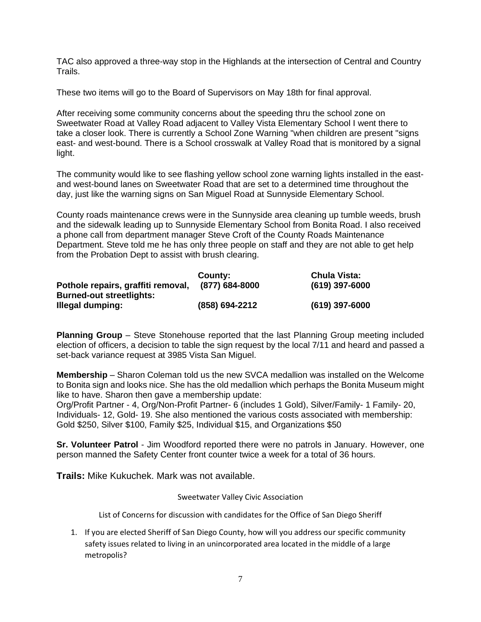TAC also approved a three-way stop in the Highlands at the intersection of Central and Country Trails.

These two items will go to the Board of Supervisors on May 18th for final approval.

After receiving some community concerns about the speeding thru the school zone on Sweetwater Road at Valley Road adjacent to Valley Vista Elementary School I went there to take a closer look. There is currently a School Zone Warning "when children are present "signs east- and west-bound. There is a School crosswalk at Valley Road that is monitored by a signal light.

The community would like to see flashing yellow school zone warning lights installed in the eastand west-bound lanes on Sweetwater Road that are set to a determined time throughout the day, just like the warning signs on San Miguel Road at Sunnyside Elementary School.

County roads maintenance crews were in the Sunnyside area cleaning up tumble weeds, brush and the sidewalk leading up to Sunnyside Elementary School from Bonita Road. I also received a phone call from department manager Steve Croft of the County Roads Maintenance Department. Steve told me he has only three people on staff and they are not able to get help from the Probation Dept to assist with brush clearing.

|                                    | County:        | <b>Chula Vista:</b> |
|------------------------------------|----------------|---------------------|
| Pothole repairs, graffiti removal, | (877) 684-8000 | (619) 397-6000      |
| <b>Burned-out streetlights:</b>    |                |                     |
| Illegal dumping:                   | (858) 694-2212 | (619) 397-6000      |

**Planning Group** – Steve Stonehouse reported that the last Planning Group meeting included election of officers, a decision to table the sign request by the local 7/11 and heard and passed a set-back variance request at 3985 Vista San Miguel.

**Membership** – Sharon Coleman told us the new SVCA medallion was installed on the Welcome to Bonita sign and looks nice. She has the old medallion which perhaps the Bonita Museum might like to have. Sharon then gave a membership update:

Org/Profit Partner - 4, Org/Non-Profit Partner- 6 (includes 1 Gold), Silver/Family- 1 Family- 20, Individuals- 12, Gold- 19. She also mentioned the various costs associated with membership: Gold \$250, Silver \$100, Family \$25, Individual \$15, and Organizations \$50

**Sr. Volunteer Patrol** - Jim Woodford reported there were no patrols in January. However, one person manned the Safety Center front counter twice a week for a total of 36 hours.

**Trails:** Mike Kukuchek. Mark was not available.

Sweetwater Valley Civic Association

List of Concerns for discussion with candidates for the Office of San Diego Sheriff

1. If you are elected Sheriff of San Diego County, how will you address our specific community safety issues related to living in an unincorporated area located in the middle of a large metropolis?